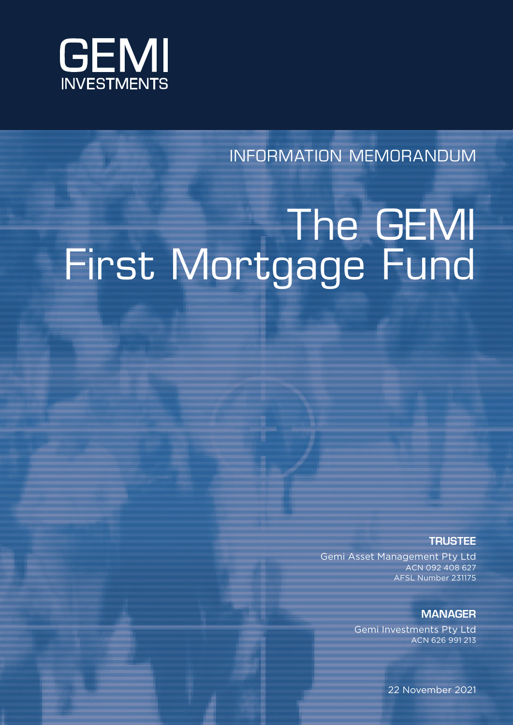

INFORMATION MEMORANDUM

# The GEMI First Mortgage Fund

**TRUSTEE** 

Gemi Asset Management Pty Ltd ACN 092 408 627 AFSL Number 231175

# **MANAGER**

Gemi Investments Pty Ltd ACN 626 991 213

22 November 2021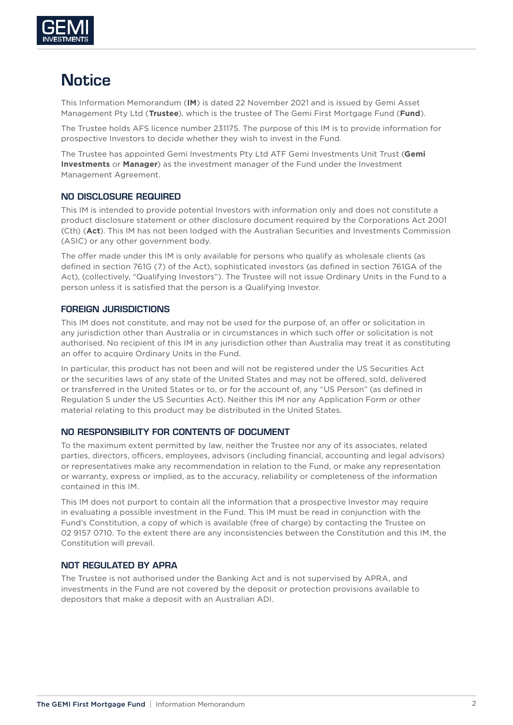

# **Notice**

This Information Memorandum (**IM**) is dated 22 November 2021 and is issued by Gemi Asset Management Pty Ltd (**Trustee**), which is the trustee of The Gemi First Mortgage Fund (**Fund**).

The Trustee holds AFS licence number 231175. The purpose of this IM is to provide information for prospective Investors to decide whether they wish to invest in the Fund.

The Trustee has appointed Gemi Investments Pty Ltd ATF Gemi Investments Unit Trust (**Gemi Investments** or **Manager**) as the investment manager of the Fund under the Investment Management Agreement.

#### NO DISCLOSURE REQUIRED

This IM is intended to provide potential Investors with information only and does not constitute a product disclosure statement or other disclosure document required by the Corporations Act 2001 (Cth) (**Act**). This IM has not been lodged with the Australian Securities and Investments Commission (ASIC) or any other government body.

The offer made under this IM is only available for persons who qualify as wholesale clients (as defined in section 761G (7) of the Act), sophisticated investors (as defined in section 761GA of the Act), (collectively, "Qualifying Investors"). The Trustee will not issue Ordinary Units in the Fund to a person unless it is satisfied that the person is a Qualifying Investor.

#### FOREIGN JURISDICTIONS

This IM does not constitute, and may not be used for the purpose of, an offer or solicitation in any jurisdiction other than Australia or in circumstances in which such offer or solicitation is not authorised. No recipient of this IM in any jurisdiction other than Australia may treat it as constituting an offer to acquire Ordinary Units in the Fund.

In particular, this product has not been and will not be registered under the US Securities Act or the securities laws of any state of the United States and may not be offered, sold, delivered or transferred in the United States or to, or for the account of, any "US Person" (as defined in Regulation S under the US Securities Act). Neither this IM nor any Application Form or other material relating to this product may be distributed in the United States.

#### NO RESPONSIBILITY FOR CONTENTS OF DOCUMENT

To the maximum extent permitted by law, neither the Trustee nor any of its associates, related parties, directors, officers, employees, advisors (including financial, accounting and legal advisors) or representatives make any recommendation in relation to the Fund, or make any representation or warranty, express or implied, as to the accuracy, reliability or completeness of the information contained in this IM.

This IM does not purport to contain all the information that a prospective Investor may require in evaluating a possible investment in the Fund. This IM must be read in conjunction with the Fund's Constitution, a copy of which is available (free of charge) by contacting the Trustee on 02 9157 0710. To the extent there are any inconsistencies between the Constitution and this IM, the Constitution will prevail.

#### NOT REGULATED BY APRA

The Trustee is not authorised under the Banking Act and is not supervised by APRA, and investments in the Fund are not covered by the deposit or protection provisions available to depositors that make a deposit with an Australian ADI.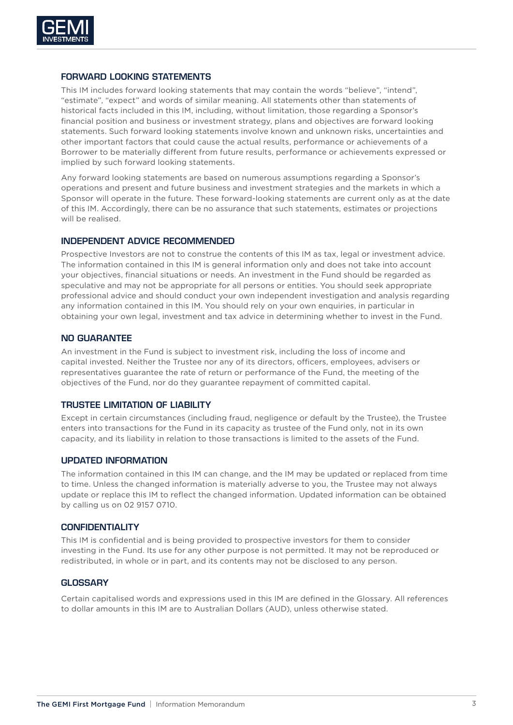

#### FORWARD LOOKING STATEMENTS

This IM includes forward looking statements that may contain the words "believe", "intend", "estimate", "expect" and words of similar meaning. All statements other than statements of historical facts included in this IM, including, without limitation, those regarding a Sponsor's financial position and business or investment strategy, plans and objectives are forward looking statements. Such forward looking statements involve known and unknown risks, uncertainties and other important factors that could cause the actual results, performance or achievements of a Borrower to be materially different from future results, performance or achievements expressed or implied by such forward looking statements.

Any forward looking statements are based on numerous assumptions regarding a Sponsor's operations and present and future business and investment strategies and the markets in which a Sponsor will operate in the future. These forward-looking statements are current only as at the date of this IM. Accordingly, there can be no assurance that such statements, estimates or projections will be realised.

#### INDEPENDENT ADVICE RECOMMENDED

Prospective Investors are not to construe the contents of this IM as tax, legal or investment advice. The information contained in this IM is general information only and does not take into account your objectives, financial situations or needs. An investment in the Fund should be regarded as speculative and may not be appropriate for all persons or entities. You should seek appropriate professional advice and should conduct your own independent investigation and analysis regarding any information contained in this IM. You should rely on your own enquiries, in particular in obtaining your own legal, investment and tax advice in determining whether to invest in the Fund.

#### NO GUARANTEE

An investment in the Fund is subject to investment risk, including the loss of income and capital invested. Neither the Trustee nor any of its directors, officers, employees, advisers or representatives guarantee the rate of return or performance of the Fund, the meeting of the objectives of the Fund, nor do they guarantee repayment of committed capital.

#### TRUSTEE LIMITATION OF LIABILITY

Except in certain circumstances (including fraud, negligence or default by the Trustee), the Trustee enters into transactions for the Fund in its capacity as trustee of the Fund only, not in its own capacity, and its liability in relation to those transactions is limited to the assets of the Fund.

#### UPDATED INFORMATION

The information contained in this IM can change, and the IM may be updated or replaced from time to time. Unless the changed information is materially adverse to you, the Trustee may not always update or replace this IM to reflect the changed information. Updated information can be obtained by calling us on 02 9157 0710.

#### **CONFIDENTIALITY**

This IM is confidential and is being provided to prospective investors for them to consider investing in the Fund. Its use for any other purpose is not permitted. It may not be reproduced or redistributed, in whole or in part, and its contents may not be disclosed to any person.

#### **GLOSSARY**

Certain capitalised words and expressions used in this IM are defined in the Glossary. All references to dollar amounts in this IM are to Australian Dollars (AUD), unless otherwise stated.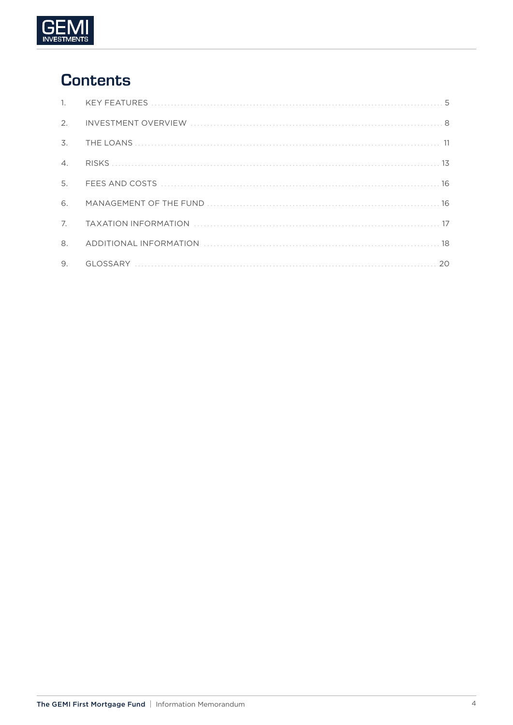

# **Contents**

| $\mathbb{1}$ .        |  |
|-----------------------|--|
| 2.                    |  |
| 3.                    |  |
| $\mathcal{A}_{\cdot}$ |  |
| 5.                    |  |
| 6.                    |  |
| 7 <sub>1</sub>        |  |
| 8.                    |  |
| 9.                    |  |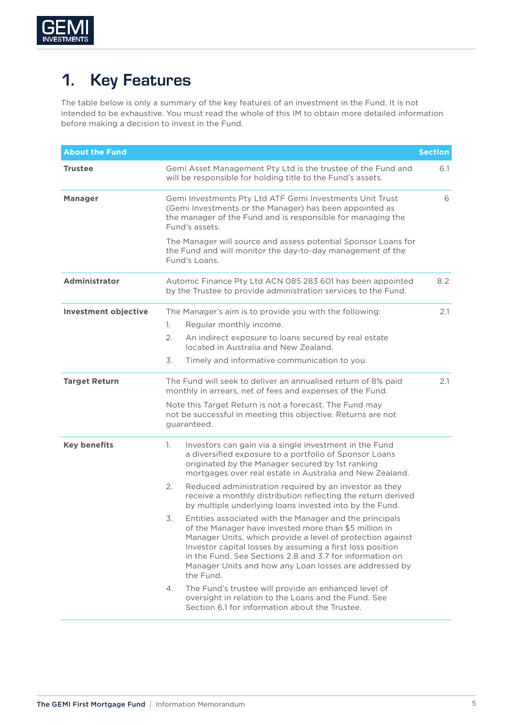

# 1. Key Features

The table below is only a summary of the key features of an investment in the Fund. It is not intended to be exhaustive. You must read the whole of this IM to obtain more detailed information before making a decision to invest in the Fund.

| <b>About the Fund</b>       |                                                                                                                                                                                                                                                                                                                                                                                      | <b>Section</b> |  |  |
|-----------------------------|--------------------------------------------------------------------------------------------------------------------------------------------------------------------------------------------------------------------------------------------------------------------------------------------------------------------------------------------------------------------------------------|----------------|--|--|
| <b>Trustee</b>              | Gemi Asset Management Pty Ltd is the trustee of the Fund and<br>will be responsible for holding title to the Fund's assets.                                                                                                                                                                                                                                                          | 6.1            |  |  |
| <b>Manager</b>              | Gemi Investments Pty Ltd ATF Gemi Investments Unit Trust<br>(Gemi Investments or the Manager) has been appointed as<br>the manager of the Fund and is responsible for managing the<br>Fund's assets.                                                                                                                                                                                 |                |  |  |
|                             | The Manager will source and assess potential Sponsor Loans for<br>the Fund and will monitor the day-to-day management of the<br>Fund's Loans.                                                                                                                                                                                                                                        |                |  |  |
| <b>Administrator</b>        | Automic Finance Pty Ltd ACN 085 283 601 has been appointed<br>by the Trustee to provide administration services to the Fund.                                                                                                                                                                                                                                                         | 8.2            |  |  |
| <b>Investment objective</b> | The Manager's aim is to provide you with the following:                                                                                                                                                                                                                                                                                                                              | 2.1            |  |  |
|                             | Regular monthly income.<br>1.                                                                                                                                                                                                                                                                                                                                                        |                |  |  |
|                             | 2.<br>An indirect exposure to loans secured by real estate<br>located in Australia and New Zealand.                                                                                                                                                                                                                                                                                  |                |  |  |
|                             | 3.<br>Timely and informative communication to you.                                                                                                                                                                                                                                                                                                                                   |                |  |  |
| <b>Target Return</b>        | The Fund will seek to deliver an annualised return of 8% paid<br>monthly in arrears, net of fees and expenses of the Fund.                                                                                                                                                                                                                                                           | 2.1            |  |  |
|                             | Note this Target Return is not a forecast. The Fund may<br>not be successful in meeting this objective. Returns are not<br>guaranteed.                                                                                                                                                                                                                                               |                |  |  |
| <b>Key benefits</b>         | Investors can gain via a single investment in the Fund<br>1.<br>a diversified exposure to a portfolio of Sponsor Loans<br>originated by the Manager secured by 1st ranking<br>mortgages over real estate in Australia and New Zealand.                                                                                                                                               |                |  |  |
|                             | 2.<br>Reduced administration required by an investor as they<br>receive a monthly distribution reflecting the return derived<br>by multiple underlying loans invested into by the Fund.                                                                                                                                                                                              |                |  |  |
|                             | 3.<br>Entities associated with the Manager and the principals<br>of the Manager have invested more than \$5 million in<br>Manager Units, which provide a level of protection against<br>Investor capital losses by assuming a first loss position<br>in the Fund. See Sections 2.8 and 3.7 for information on<br>Manager Units and how any Loan losses are addressed by<br>the Fund. |                |  |  |
|                             | The Fund's trustee will provide an enhanced level of<br>4.<br>oversight in relation to the Loans and the Fund. See<br>Section 6.1 for information about the Trustee.                                                                                                                                                                                                                 |                |  |  |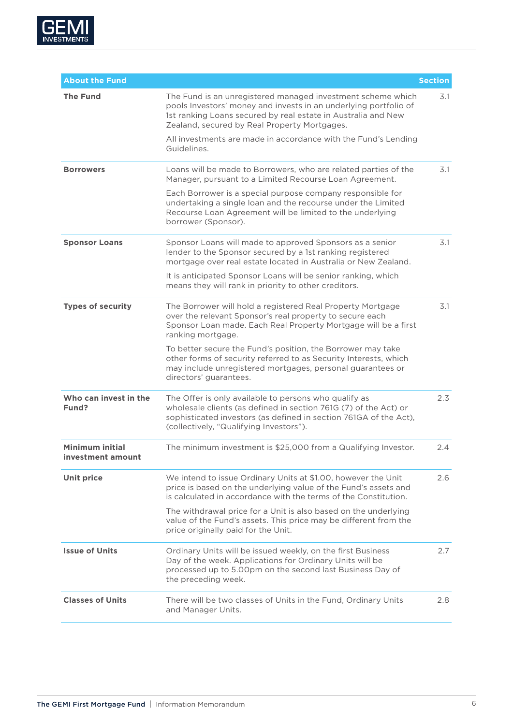

| <b>About the Fund</b>                       |                                                                                                                                                                                                                                                  | <b>Section</b> |
|---------------------------------------------|--------------------------------------------------------------------------------------------------------------------------------------------------------------------------------------------------------------------------------------------------|----------------|
| <b>The Fund</b>                             | The Fund is an unregistered managed investment scheme which<br>pools Investors' money and invests in an underlying portfolio of<br>1st ranking Loans secured by real estate in Australia and New<br>Zealand, secured by Real Property Mortgages. | 3.1            |
|                                             | All investments are made in accordance with the Fund's Lending<br>Guidelines.                                                                                                                                                                    |                |
| <b>Borrowers</b>                            | Loans will be made to Borrowers, who are related parties of the<br>Manager, pursuant to a Limited Recourse Loan Agreement.                                                                                                                       | 3.1            |
|                                             | Each Borrower is a special purpose company responsible for<br>undertaking a single loan and the recourse under the Limited<br>Recourse Loan Agreement will be limited to the underlying<br>borrower (Sponsor).                                   |                |
| <b>Sponsor Loans</b>                        | Sponsor Loans will made to approved Sponsors as a senior<br>lender to the Sponsor secured by a 1st ranking registered<br>mortgage over real estate located in Australia or New Zealand.                                                          | 3.1            |
|                                             | It is anticipated Sponsor Loans will be senior ranking, which<br>means they will rank in priority to other creditors.                                                                                                                            |                |
| <b>Types of security</b>                    | The Borrower will hold a registered Real Property Mortgage<br>over the relevant Sponsor's real property to secure each<br>Sponsor Loan made. Each Real Property Mortgage will be a first<br>ranking mortgage.                                    | 3.1            |
|                                             | To better secure the Fund's position, the Borrower may take<br>other forms of security referred to as Security Interests, which<br>may include unregistered mortgages, personal guarantees or<br>directors' guarantees.                          |                |
| Who can invest in the<br>Fund?              | The Offer is only available to persons who qualify as<br>wholesale clients (as defined in section 761G (7) of the Act) or<br>sophisticated investors (as defined in section 761GA of the Act),<br>(collectively, "Qualifying Investors").        | 2.3            |
| <b>Minimum initial</b><br>investment amount | The minimum investment is \$25,000 from a Qualifying Investor.                                                                                                                                                                                   | 2.4            |
| <b>Unit price</b>                           | We intend to issue Ordinary Units at \$1.00, however the Unit<br>price is based on the underlying value of the Fund's assets and<br>is calculated in accordance with the terms of the Constitution.                                              | 2.6            |
|                                             | The withdrawal price for a Unit is also based on the underlying<br>value of the Fund's assets. This price may be different from the<br>price originally paid for the Unit.                                                                       |                |
| <b>Issue of Units</b>                       | Ordinary Units will be issued weekly, on the first Business<br>Day of the week. Applications for Ordinary Units will be<br>processed up to 5.00pm on the second last Business Day of<br>the preceding week.                                      | 2.7            |
| <b>Classes of Units</b>                     | There will be two classes of Units in the Fund, Ordinary Units<br>and Manager Units.                                                                                                                                                             | 2.8            |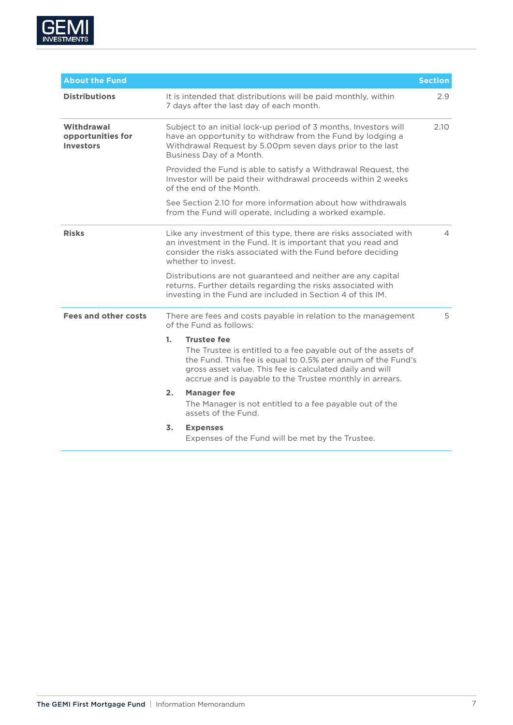

| <b>About the Fund</b>                               |                                                                                                                                                                                                                        |                                                                                                                                                                                                                                                                            | <b>Section</b> |
|-----------------------------------------------------|------------------------------------------------------------------------------------------------------------------------------------------------------------------------------------------------------------------------|----------------------------------------------------------------------------------------------------------------------------------------------------------------------------------------------------------------------------------------------------------------------------|----------------|
| <b>Distributions</b>                                |                                                                                                                                                                                                                        | It is intended that distributions will be paid monthly, within<br>7 days after the last day of each month.                                                                                                                                                                 | 2.9            |
| Withdrawal<br>opportunities for<br><b>Investors</b> |                                                                                                                                                                                                                        | Subject to an initial lock-up period of 3 months, Investors will<br>have an opportunity to withdraw from the Fund by lodging a<br>Withdrawal Request by 5.00pm seven days prior to the last<br>Business Day of a Month.                                                    | 2.10           |
|                                                     |                                                                                                                                                                                                                        | Provided the Fund is able to satisfy a Withdrawal Request, the<br>Investor will be paid their withdrawal proceeds within 2 weeks<br>of the end of the Month.                                                                                                               |                |
|                                                     |                                                                                                                                                                                                                        | See Section 2.10 for more information about how withdrawals<br>from the Fund will operate, including a worked example.                                                                                                                                                     |                |
| <b>Risks</b>                                        | Like any investment of this type, there are risks associated with<br>an investment in the Fund. It is important that you read and<br>consider the risks associated with the Fund before deciding<br>whether to invest. |                                                                                                                                                                                                                                                                            | 4              |
|                                                     |                                                                                                                                                                                                                        | Distributions are not guaranteed and neither are any capital<br>returns. Further details regarding the risks associated with<br>investing in the Fund are included in Section 4 of this IM.                                                                                |                |
| <b>Fees and other costs</b>                         |                                                                                                                                                                                                                        | There are fees and costs payable in relation to the management<br>of the Fund as follows:                                                                                                                                                                                  | 5              |
|                                                     | 1.                                                                                                                                                                                                                     | <b>Trustee fee</b><br>The Trustee is entitled to a fee payable out of the assets of<br>the Fund. This fee is equal to 0.5% per annum of the Fund's<br>gross asset value. This fee is calculated daily and will<br>accrue and is payable to the Trustee monthly in arrears. |                |
|                                                     | 2 <sub>1</sub>                                                                                                                                                                                                         | <b>Manager fee</b><br>The Manager is not entitled to a fee payable out of the<br>assets of the Fund.                                                                                                                                                                       |                |
|                                                     | 3.                                                                                                                                                                                                                     | <b>Expenses</b><br>Expenses of the Fund will be met by the Trustee.                                                                                                                                                                                                        |                |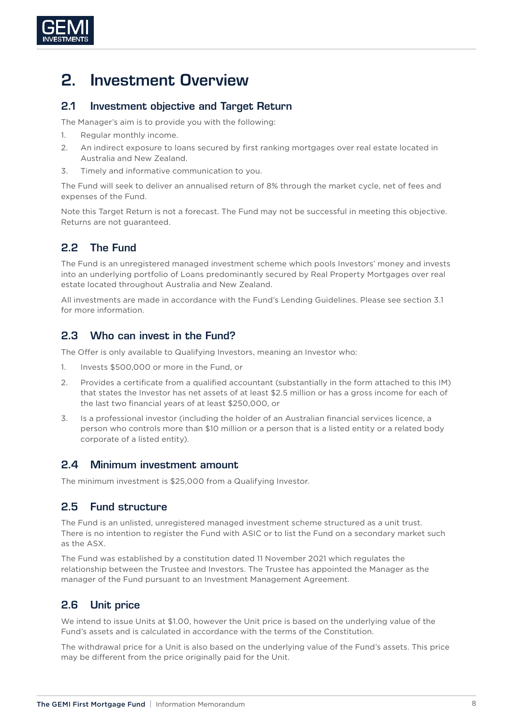

# 2. Investment Overview

#### 2.1 Investment objective and Target Return

The Manager's aim is to provide you with the following:

- 1. Regular monthly income.
- 2. An indirect exposure to loans secured by first ranking mortgages over real estate located in Australia and New Zealand.
- 3. Timely and informative communication to you.

The Fund will seek to deliver an annualised return of 8% through the market cycle, net of fees and expenses of the Fund.

Note this Target Return is not a forecast. The Fund may not be successful in meeting this objective. Returns are not guaranteed.

# 2.2 The Fund

The Fund is an unregistered managed investment scheme which pools Investors' money and invests into an underlying portfolio of Loans predominantly secured by Real Property Mortgages over real estate located throughout Australia and New Zealand.

All investments are made in accordance with the Fund's Lending Guidelines. Please see section [3.1](#page-10-0)  for more information.

# 2.3 Who can invest in the Fund?

The Offer is only available to Qualifying Investors, meaning an Investor who:

- 1. Invests \$500,000 or more in the Fund, or
- 2. Provides a certificate from a qualified accountant (substantially in the form attached to this IM) that states the Investor has net assets of at least \$2.5 million or has a gross income for each of the last two financial years of at least \$250,000, or
- 3. Is a professional investor (including the holder of an Australian financial services licence, a person who controls more than \$10 million or a person that is a listed entity or a related body corporate of a listed entity).

#### 2.4 Minimum investment amount

The minimum investment is \$25,000 from a Qualifying Investor.

# 2.5 Fund structure

The Fund is an unlisted, unregistered managed investment scheme structured as a unit trust. There is no intention to register the Fund with ASIC or to list the Fund on a secondary market such as the ASX.

The Fund was established by a constitution dated 11 November 2021 which regulates the relationship between the Trustee and Investors. The Trustee has appointed the Manager as the manager of the Fund pursuant to an Investment Management Agreement.

# 2.6 Unit price

We intend to issue Units at \$1.00, however the Unit price is based on the underlying value of the Fund's assets and is calculated in accordance with the terms of the Constitution.

The withdrawal price for a Unit is also based on the underlying value of the Fund's assets. This price may be different from the price originally paid for the Unit.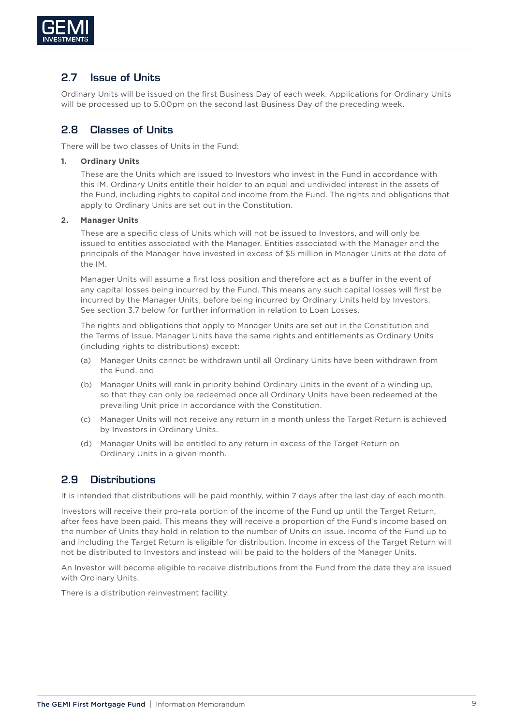

## 2.7 Issue of Units

Ordinary Units will be issued on the first Business Day of each week. Applications for Ordinary Units will be processed up to 5.00pm on the second last Business Day of the preceding week.

## <span id="page-8-0"></span>2.8 Classes of Units

There will be two classes of Units in the Fund:

#### **1. Ordinary Units**

These are the Units which are issued to Investors who invest in the Fund in accordance with this IM. Ordinary Units entitle their holder to an equal and undivided interest in the assets of the Fund, including rights to capital and income from the Fund. The rights and obligations that apply to Ordinary Units are set out in the Constitution.

#### **2. Manager Units**

These are a specific class of Units which will not be issued to Investors, and will only be issued to entities associated with the Manager. Entities associated with the Manager and the principals of the Manager have invested in excess of \$5 million in Manager Units at the date of the IM.

Manager Units will assume a first loss position and therefore act as a buffer in the event of any capital losses being incurred by the Fund. This means any such capital losses will first be incurred by the Manager Units, before being incurred by Ordinary Units held by Investors. See section 3.7 below for further information in relation to Loan Losses.

The rights and obligations that apply to Manager Units are set out in the Constitution and the Terms of Issue. Manager Units have the same rights and entitlements as Ordinary Units (including rights to distributions) except:

- (a) Manager Units cannot be withdrawn until all Ordinary Units have been withdrawn from the Fund, and
- (b) Manager Units will rank in priority behind Ordinary Units in the event of a winding up, so that they can only be redeemed once all Ordinary Units have been redeemed at the prevailing Unit price in accordance with the Constitution.
- (c) Manager Units will not receive any return in a month unless the Target Return is achieved by Investors in Ordinary Units.
- (d) Manager Units will be entitled to any return in excess of the Target Return on Ordinary Units in a given month.

#### 2.9 Distributions

It is intended that distributions will be paid monthly, within 7 days after the last day of each month.

Investors will receive their pro-rata portion of the income of the Fund up until the Target Return, after fees have been paid. This means they will receive a proportion of the Fund's income based on the number of Units they hold in relation to the number of Units on issue. Income of the Fund up to and including the Target Return is eligible for distribution. Income in excess of the Target Return will not be distributed to Investors and instead will be paid to the holders of the Manager Units.

An Investor will become eligible to receive distributions from the Fund from the date they are issued with Ordinary Units.

There is a distribution reinvestment facility.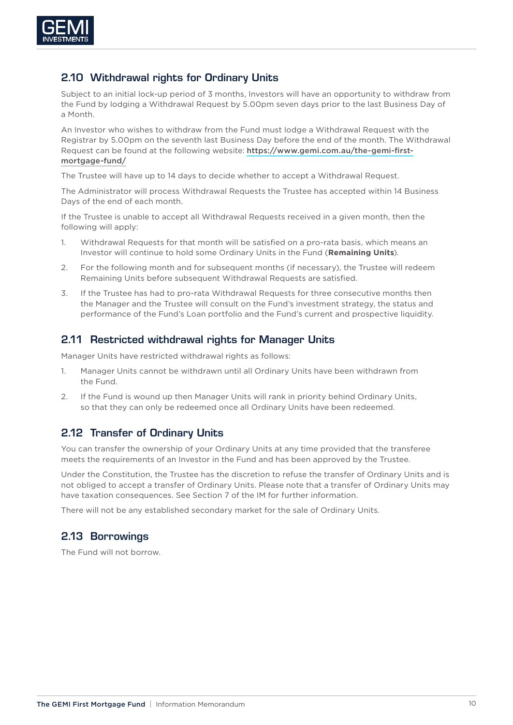

## 2.10 Withdrawal rights for Ordinary Units

Subject to an initial lock-up period of 3 months, Investors will have an opportunity to withdraw from the Fund by lodging a Withdrawal Request by 5.00pm seven days prior to the last Business Day of a Month.

An Investor who wishes to withdraw from the Fund must lodge a Withdrawal Request with the Registrar by 5.00pm on the seventh last Business Day before the end of the month. The Withdrawal Request can be found at the following website: [https://www.gemi.com.au/the-gemi-first](https://www.gemi.com.au/the-gemi-first-mortgage-fund/)[mortgage-fund/](https://www.gemi.com.au/the-gemi-first-mortgage-fund/)

The Trustee will have up to 14 days to decide whether to accept a Withdrawal Request.

The Administrator will process Withdrawal Requests the Trustee has accepted within 14 Business Days of the end of each month.

If the Trustee is unable to accept all Withdrawal Requests received in a given month, then the following will apply:

- 1. Withdrawal Requests for that month will be satisfied on a pro-rata basis, which means an Investor will continue to hold some Ordinary Units in the Fund (**Remaining Units**).
- 2. For the following month and for subsequent months (if necessary), the Trustee will redeem Remaining Units before subsequent Withdrawal Requests are satisfied.
- 3. If the Trustee has had to pro-rata Withdrawal Requests for three consecutive months then the Manager and the Trustee will consult on the Fund's investment strategy, the status and performance of the Fund's Loan portfolio and the Fund's current and prospective liquidity.

## 2.11 Restricted withdrawal rights for Manager Units

Manager Units have restricted withdrawal rights as follows:

- 1. Manager Units cannot be withdrawn until all Ordinary Units have been withdrawn from the Fund.
- 2. If the Fund is wound up then Manager Units will rank in priority behind Ordinary Units, so that they can only be redeemed once all Ordinary Units have been redeemed.

# 2.12 Transfer of Ordinary Units

You can transfer the ownership of your Ordinary Units at any time provided that the transferee meets the requirements of an Investor in the Fund and has been approved by the Trustee.

Under the Constitution, the Trustee has the discretion to refuse the transfer of Ordinary Units and is not obliged to accept a transfer of Ordinary Units. Please note that a transfer of Ordinary Units may have taxation consequences. See Section 7 of the IM for further information.

There will not be any established secondary market for the sale of Ordinary Units.

# 2.13 Borrowings

The Fund will not borrow.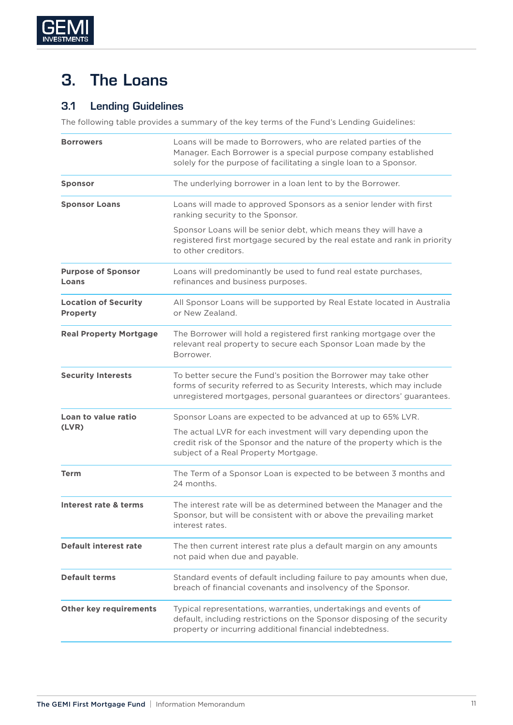

# 3. The Loans

# <span id="page-10-0"></span>3.1 Lending Guidelines

The following table provides a summary of the key terms of the Fund's Lending Guidelines:

| <b>Borrowers</b>                               | Loans will be made to Borrowers, who are related parties of the<br>Manager. Each Borrower is a special purpose company established<br>solely for the purpose of facilitating a single loan to a Sponsor.            |
|------------------------------------------------|---------------------------------------------------------------------------------------------------------------------------------------------------------------------------------------------------------------------|
| <b>Sponsor</b>                                 | The underlying borrower in a loan lent to by the Borrower.                                                                                                                                                          |
| <b>Sponsor Loans</b>                           | Loans will made to approved Sponsors as a senior lender with first<br>ranking security to the Sponsor.                                                                                                              |
|                                                | Sponsor Loans will be senior debt, which means they will have a<br>registered first mortgage secured by the real estate and rank in priority<br>to other creditors.                                                 |
| <b>Purpose of Sponsor</b><br>Loans             | Loans will predominantly be used to fund real estate purchases,<br>refinances and business purposes.                                                                                                                |
| <b>Location of Security</b><br><b>Property</b> | All Sponsor Loans will be supported by Real Estate located in Australia<br>or New Zealand.                                                                                                                          |
| <b>Real Property Mortgage</b>                  | The Borrower will hold a registered first ranking mortgage over the<br>relevant real property to secure each Sponsor Loan made by the<br>Borrower.                                                                  |
| <b>Security Interests</b>                      | To better secure the Fund's position the Borrower may take other<br>forms of security referred to as Security Interests, which may include<br>unregistered mortgages, personal guarantees or directors' guarantees. |
| Loan to value ratio                            | Sponsor Loans are expected to be advanced at up to 65% LVR.                                                                                                                                                         |
| (LVR)                                          | The actual LVR for each investment will vary depending upon the<br>credit risk of the Sponsor and the nature of the property which is the<br>subject of a Real Property Mortgage.                                   |
| <b>Term</b>                                    | The Term of a Sponsor Loan is expected to be between 3 months and<br>24 months.                                                                                                                                     |
| Interest rate & terms                          | The interest rate will be as determined between the Manager and the<br>Sponsor, but will be consistent with or above the prevailing market<br>interest rates.                                                       |
| <b>Default interest rate</b>                   | The then current interest rate plus a default margin on any amounts<br>not paid when due and payable.                                                                                                               |
| <b>Default terms</b>                           | Standard events of default including failure to pay amounts when due,<br>breach of financial covenants and insolvency of the Sponsor.                                                                               |
| <b>Other key requirements</b>                  | Typical representations, warranties, undertakings and events of<br>default, including restrictions on the Sponsor disposing of the security<br>property or incurring additional financial indebtedness.             |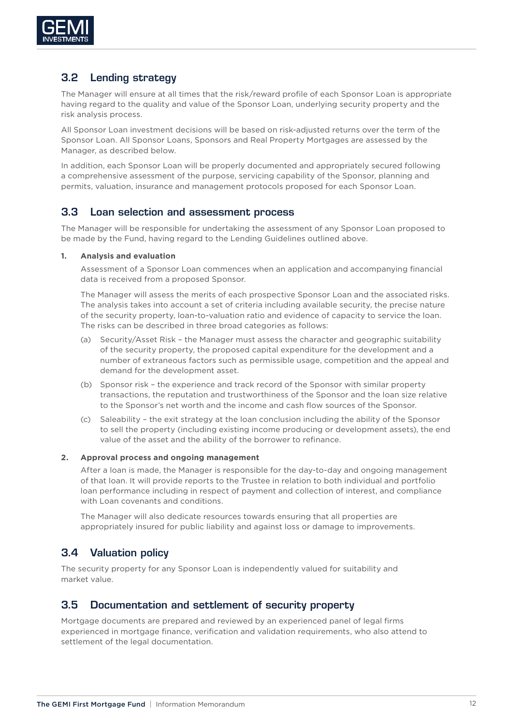

# 3.2 Lending strategy

The Manager will ensure at all times that the risk/reward profile of each Sponsor Loan is appropriate having regard to the quality and value of the Sponsor Loan, underlying security property and the risk analysis process.

All Sponsor Loan investment decisions will be based on risk-adjusted returns over the term of the Sponsor Loan. All Sponsor Loans, Sponsors and Real Property Mortgages are assessed by the Manager, as described below.

In addition, each Sponsor Loan will be properly documented and appropriately secured following a comprehensive assessment of the purpose, servicing capability of the Sponsor, planning and permits, valuation, insurance and management protocols proposed for each Sponsor Loan.

#### 3.3 Loan selection and assessment process

The Manager will be responsible for undertaking the assessment of any Sponsor Loan proposed to be made by the Fund, having regard to the Lending Guidelines outlined above.

#### **1. Analysis and evaluation**

Assessment of a Sponsor Loan commences when an application and accompanying financial data is received from a proposed Sponsor.

The Manager will assess the merits of each prospective Sponsor Loan and the associated risks. The analysis takes into account a set of criteria including available security, the precise nature of the security property, loan-to-valuation ratio and evidence of capacity to service the loan. The risks can be described in three broad categories as follows:

- (a) Security/Asset Risk the Manager must assess the character and geographic suitability of the security property, the proposed capital expenditure for the development and a number of extraneous factors such as permissible usage, competition and the appeal and demand for the development asset.
- (b) Sponsor risk the experience and track record of the Sponsor with similar property transactions, the reputation and trustworthiness of the Sponsor and the loan size relative to the Sponsor's net worth and the income and cash flow sources of the Sponsor.
- (c) Saleability the exit strategy at the loan conclusion including the ability of the Sponsor to sell the property (including existing income producing or development assets), the end value of the asset and the ability of the borrower to refinance.

#### **2. Approval process and ongoing management**

After a loan is made, the Manager is responsible for the day-to-day and ongoing management of that loan. It will provide reports to the Trustee in relation to both individual and portfolio loan performance including in respect of payment and collection of interest, and compliance with Loan covenants and conditions.

The Manager will also dedicate resources towards ensuring that all properties are appropriately insured for public liability and against loss or damage to improvements.

# 3.4 Valuation policy

The security property for any Sponsor Loan is independently valued for suitability and market value.

#### 3.5 Documentation and settlement of security property

Mortgage documents are prepared and reviewed by an experienced panel of legal firms experienced in mortgage finance, verification and validation requirements, who also attend to settlement of the legal documentation.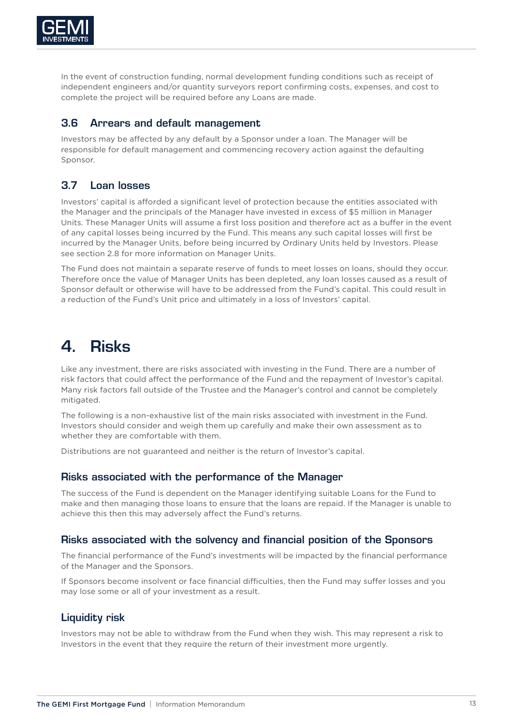

In the event of construction funding, normal development funding conditions such as receipt of independent engineers and/or quantity surveyors report confirming costs, expenses, and cost to complete the project will be required before any Loans are made.

#### 3.6 Arrears and default management

Investors may be affected by any default by a Sponsor under a loan. The Manager will be responsible for default management and commencing recovery action against the defaulting Sponsor.

# 3.7 Loan losses

Investors' capital is afforded a significant level of protection because the entities associated with the Manager and the principals of the Manager have invested in excess of \$5 million in Manager Units. These Manager Units will assume a first loss position and therefore act as a buffer in the event of any capital losses being incurred by the Fund. This means any such capital losses will first be incurred by the Manager Units, before being incurred by Ordinary Units held by Investors. Please see section [2.8](#page-8-0) for more information on Manager Units.

The Fund does not maintain a separate reserve of funds to meet losses on loans, should they occur. Therefore once the value of Manager Units has been depleted, any loan losses caused as a result of Sponsor default or otherwise will have to be addressed from the Fund's capital. This could result in a reduction of the Fund's Unit price and ultimately in a loss of Investors' capital.

# 4. Risks

Like any investment, there are risks associated with investing in the Fund. There are a number of risk factors that could affect the performance of the Fund and the repayment of Investor's capital. Many risk factors fall outside of the Trustee and the Manager's control and cannot be completely mitigated.

The following is a non-exhaustive list of the main risks associated with investment in the Fund. Investors should consider and weigh them up carefully and make their own assessment as to whether they are comfortable with them.

Distributions are not guaranteed and neither is the return of Investor's capital.

#### Risks associated with the performance of the Manager

The success of the Fund is dependent on the Manager identifying suitable Loans for the Fund to make and then managing those loans to ensure that the loans are repaid. If the Manager is unable to achieve this then this may adversely affect the Fund's returns.

#### Risks associated with the solvency and financial position of the Sponsors

The financial performance of the Fund's investments will be impacted by the financial performance of the Manager and the Sponsors.

If Sponsors become insolvent or face financial difficulties, then the Fund may suffer losses and you may lose some or all of your investment as a result.

#### Liquidity risk

Investors may not be able to withdraw from the Fund when they wish. This may represent a risk to Investors in the event that they require the return of their investment more urgently.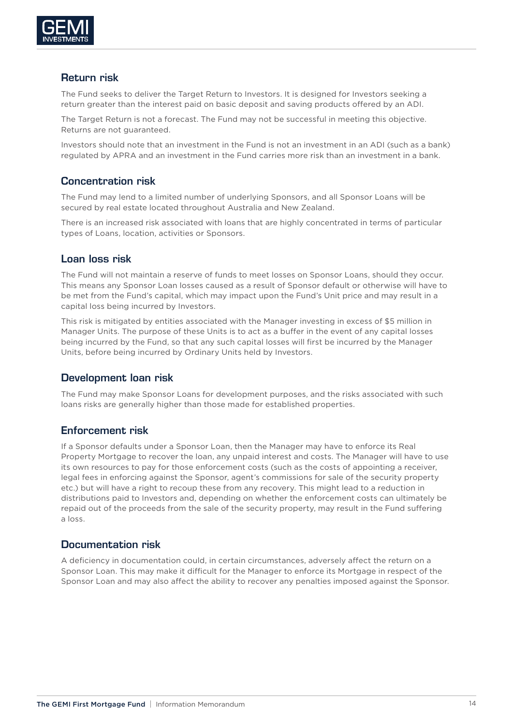

#### Return risk

The Fund seeks to deliver the Target Return to Investors. It is designed for Investors seeking a return greater than the interest paid on basic deposit and saving products offered by an ADI.

The Target Return is not a forecast. The Fund may not be successful in meeting this objective. Returns are not guaranteed.

Investors should note that an investment in the Fund is not an investment in an ADI (such as a bank) regulated by APRA and an investment in the Fund carries more risk than an investment in a bank.

#### Concentration risk

The Fund may lend to a limited number of underlying Sponsors, and all Sponsor Loans will be secured by real estate located throughout Australia and New Zealand.

There is an increased risk associated with loans that are highly concentrated in terms of particular types of Loans, location, activities or Sponsors.

#### Loan loss risk

The Fund will not maintain a reserve of funds to meet losses on Sponsor Loans, should they occur. This means any Sponsor Loan losses caused as a result of Sponsor default or otherwise will have to be met from the Fund's capital, which may impact upon the Fund's Unit price and may result in a capital loss being incurred by Investors.

This risk is mitigated by entities associated with the Manager investing in excess of \$5 million in Manager Units. The purpose of these Units is to act as a buffer in the event of any capital losses being incurred by the Fund, so that any such capital losses will first be incurred by the Manager Units, before being incurred by Ordinary Units held by Investors.

#### Development loan risk

The Fund may make Sponsor Loans for development purposes, and the risks associated with such loans risks are generally higher than those made for established properties.

#### Enforcement risk

If a Sponsor defaults under a Sponsor Loan, then the Manager may have to enforce its Real Property Mortgage to recover the loan, any unpaid interest and costs. The Manager will have to use its own resources to pay for those enforcement costs (such as the costs of appointing a receiver, legal fees in enforcing against the Sponsor, agent's commissions for sale of the security property etc.) but will have a right to recoup these from any recovery. This might lead to a reduction in distributions paid to Investors and, depending on whether the enforcement costs can ultimately be repaid out of the proceeds from the sale of the security property, may result in the Fund suffering a loss.

#### Documentation risk

A deficiency in documentation could, in certain circumstances, adversely affect the return on a Sponsor Loan. This may make it difficult for the Manager to enforce its Mortgage in respect of the Sponsor Loan and may also affect the ability to recover any penalties imposed against the Sponsor.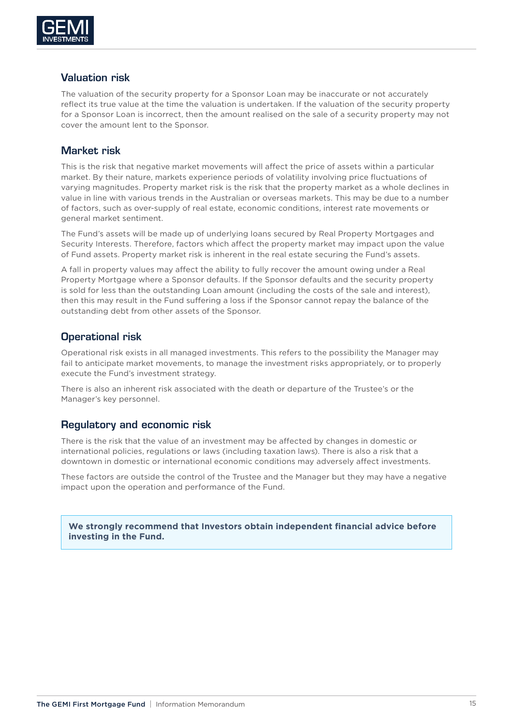

#### Valuation risk

The valuation of the security property for a Sponsor Loan may be inaccurate or not accurately reflect its true value at the time the valuation is undertaken. If the valuation of the security property for a Sponsor Loan is incorrect, then the amount realised on the sale of a security property may not cover the amount lent to the Sponsor.

## Market risk

This is the risk that negative market movements will affect the price of assets within a particular market. By their nature, markets experience periods of volatility involving price fluctuations of varying magnitudes. Property market risk is the risk that the property market as a whole declines in value in line with various trends in the Australian or overseas markets. This may be due to a number of factors, such as over-supply of real estate, economic conditions, interest rate movements or general market sentiment.

The Fund's assets will be made up of underlying loans secured by Real Property Mortgages and Security Interests. Therefore, factors which affect the property market may impact upon the value of Fund assets. Property market risk is inherent in the real estate securing the Fund's assets.

A fall in property values may affect the ability to fully recover the amount owing under a Real Property Mortgage where a Sponsor defaults. If the Sponsor defaults and the security property is sold for less than the outstanding Loan amount (including the costs of the sale and interest), then this may result in the Fund suffering a loss if the Sponsor cannot repay the balance of the outstanding debt from other assets of the Sponsor.

## Operational risk

Operational risk exists in all managed investments. This refers to the possibility the Manager may fail to anticipate market movements, to manage the investment risks appropriately, or to properly execute the Fund's investment strategy.

There is also an inherent risk associated with the death or departure of the Trustee's or the Manager's key personnel.

#### Regulatory and economic risk

There is the risk that the value of an investment may be affected by changes in domestic or international policies, regulations or laws (including taxation laws). There is also a risk that a downtown in domestic or international economic conditions may adversely affect investments.

These factors are outside the control of the Trustee and the Manager but they may have a negative impact upon the operation and performance of the Fund.

**We strongly recommend that Investors obtain independent financial advice before investing in the Fund.**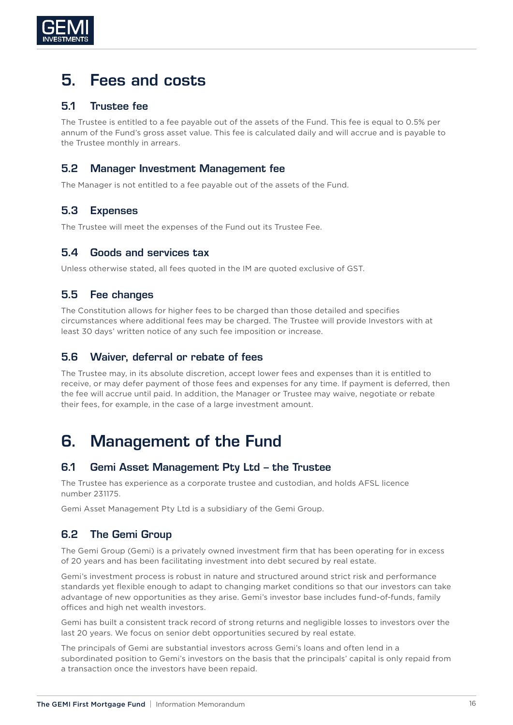

# 5. Fees and costs

#### 5.1 Trustee fee

The Trustee is entitled to a fee payable out of the assets of the Fund. This fee is equal to 0.5% per annum of the Fund's gross asset value. This fee is calculated daily and will accrue and is payable to the Trustee monthly in arrears.

# 5.2 Manager Investment Management fee

The Manager is not entitled to a fee payable out of the assets of the Fund.

# 5.3 Expenses

The Trustee will meet the expenses of the Fund out its Trustee Fee.

#### 5.4 Goods and services tax

Unless otherwise stated, all fees quoted in the IM are quoted exclusive of GST.

# 5.5 Fee changes

The Constitution allows for higher fees to be charged than those detailed and specifies circumstances where additional fees may be charged. The Trustee will provide Investors with at least 30 days' written notice of any such fee imposition or increase.

#### 5.6 Waiver, deferral or rebate of fees

The Trustee may, in its absolute discretion, accept lower fees and expenses than it is entitled to receive, or may defer payment of those fees and expenses for any time. If payment is deferred, then the fee will accrue until paid. In addition, the Manager or Trustee may waive, negotiate or rebate their fees, for example, in the case of a large investment amount.

# 6. Management of the Fund

#### 6.1 Gemi Asset Management Pty Ltd – the Trustee

The Trustee has experience as a corporate trustee and custodian, and holds AFSL licence number 231175.

Gemi Asset Management Pty Ltd is a subsidiary of the Gemi Group.

# 6.2 The Gemi Group

The Gemi Group (Gemi) is a privately owned investment firm that has been operating for in excess of 20 years and has been facilitating investment into debt secured by real estate.

Gemi's investment process is robust in nature and structured around strict risk and performance standards yet flexible enough to adapt to changing market conditions so that our investors can take advantage of new opportunities as they arise. Gemi's investor base includes fund-of-funds, family offices and high net wealth investors.

Gemi has built a consistent track record of strong returns and negligible losses to investors over the last 20 years. We focus on senior debt opportunities secured by real estate.

The principals of Gemi are substantial investors across Gemi's loans and often lend in a subordinated position to Gemi's investors on the basis that the principals' capital is only repaid from a transaction once the investors have been repaid.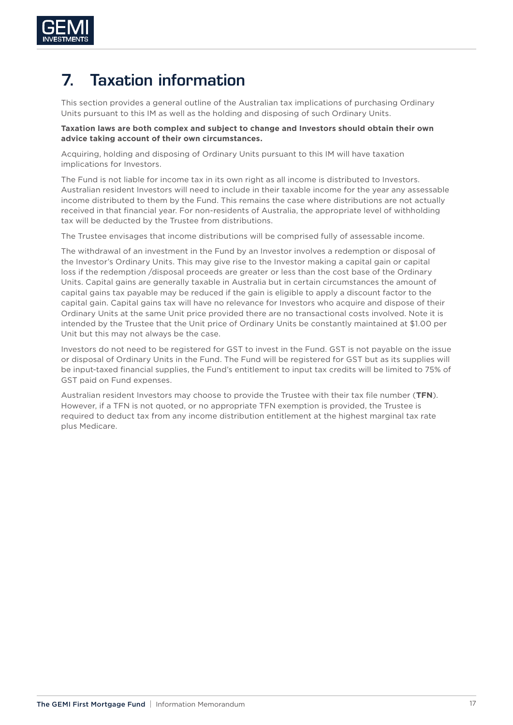

# 7. Taxation information

This section provides a general outline of the Australian tax implications of purchasing Ordinary Units pursuant to this IM as well as the holding and disposing of such Ordinary Units.

#### **Taxation laws are both complex and subject to change and Investors should obtain their own advice taking account of their own circumstances.**

Acquiring, holding and disposing of Ordinary Units pursuant to this IM will have taxation implications for Investors.

The Fund is not liable for income tax in its own right as all income is distributed to Investors. Australian resident Investors will need to include in their taxable income for the year any assessable income distributed to them by the Fund. This remains the case where distributions are not actually received in that financial year. For non-residents of Australia, the appropriate level of withholding tax will be deducted by the Trustee from distributions.

The Trustee envisages that income distributions will be comprised fully of assessable income.

The withdrawal of an investment in the Fund by an Investor involves a redemption or disposal of the Investor's Ordinary Units. This may give rise to the Investor making a capital gain or capital loss if the redemption /disposal proceeds are greater or less than the cost base of the Ordinary Units. Capital gains are generally taxable in Australia but in certain circumstances the amount of capital gains tax payable may be reduced if the gain is eligible to apply a discount factor to the capital gain. Capital gains tax will have no relevance for Investors who acquire and dispose of their Ordinary Units at the same Unit price provided there are no transactional costs involved. Note it is intended by the Trustee that the Unit price of Ordinary Units be constantly maintained at \$1.00 per Unit but this may not always be the case.

Investors do not need to be registered for GST to invest in the Fund. GST is not payable on the issue or disposal of Ordinary Units in the Fund. The Fund will be registered for GST but as its supplies will be input-taxed financial supplies, the Fund's entitlement to input tax credits will be limited to 75% of GST paid on Fund expenses.

Australian resident Investors may choose to provide the Trustee with their tax file number (**TFN**). However, if a TFN is not quoted, or no appropriate TFN exemption is provided, the Trustee is required to deduct tax from any income distribution entitlement at the highest marginal tax rate plus Medicare.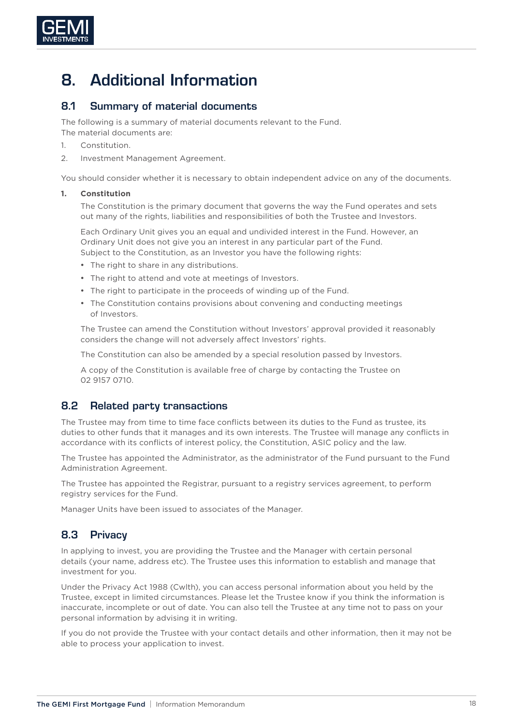

# 8. Additional Information

#### 8.1 Summary of material documents

The following is a summary of material documents relevant to the Fund.

The material documents are:

- 1. Constitution.
- 2. Investment Management Agreement.

You should consider whether it is necessary to obtain independent advice on any of the documents.

#### **1. Constitution**

The Constitution is the primary document that governs the way the Fund operates and sets out many of the rights, liabilities and responsibilities of both the Trustee and Investors.

Each Ordinary Unit gives you an equal and undivided interest in the Fund. However, an Ordinary Unit does not give you an interest in any particular part of the Fund. Subject to the Constitution, as an Investor you have the following rights:

- The right to share in any distributions.
- The right to attend and vote at meetings of Investors.
- The right to participate in the proceeds of winding up of the Fund.
- The Constitution contains provisions about convening and conducting meetings of Investors.

The Trustee can amend the Constitution without Investors' approval provided it reasonably considers the change will not adversely affect Investors' rights.

The Constitution can also be amended by a special resolution passed by Investors.

A copy of the Constitution is available free of charge by contacting the Trustee on 02 9157 0710.

#### 8.2 Related party transactions

The Trustee may from time to time face conflicts between its duties to the Fund as trustee, its duties to other funds that it manages and its own interests. The Trustee will manage any conflicts in accordance with its conflicts of interest policy, the Constitution, ASIC policy and the law.

The Trustee has appointed the Administrator, as the administrator of the Fund pursuant to the Fund Administration Agreement.

The Trustee has appointed the Registrar, pursuant to a registry services agreement, to perform registry services for the Fund.

Manager Units have been issued to associates of the Manager.

# 8.3 Privacy

In applying to invest, you are providing the Trustee and the Manager with certain personal details (your name, address etc). The Trustee uses this information to establish and manage that investment for you.

Under the Privacy Act 1988 (Cwlth), you can access personal information about you held by the Trustee, except in limited circumstances. Please let the Trustee know if you think the information is inaccurate, incomplete or out of date. You can also tell the Trustee at any time not to pass on your personal information by advising it in writing.

If you do not provide the Trustee with your contact details and other information, then it may not be able to process your application to invest.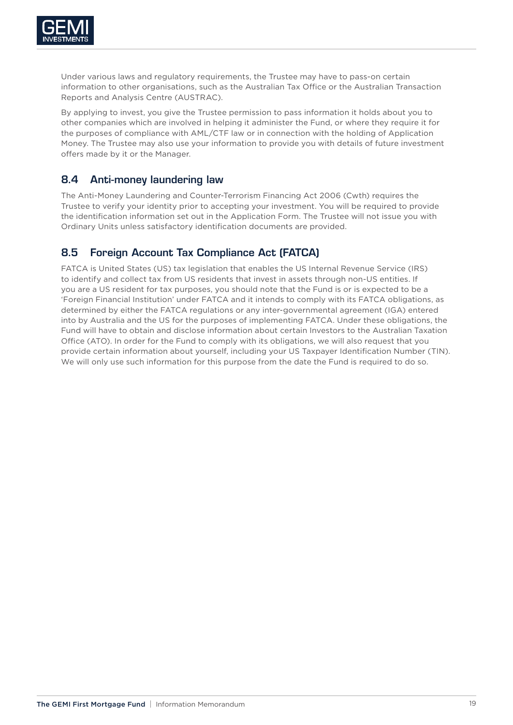

Under various laws and regulatory requirements, the Trustee may have to pass-on certain information to other organisations, such as the Australian Tax Office or the Australian Transaction Reports and Analysis Centre (AUSTRAC).

By applying to invest, you give the Trustee permission to pass information it holds about you to other companies which are involved in helping it administer the Fund, or where they require it for the purposes of compliance with AML/CTF law or in connection with the holding of Application Money. The Trustee may also use your information to provide you with details of future investment offers made by it or the Manager.

## 8.4 Anti-money laundering law

The Anti-Money Laundering and Counter-Terrorism Financing Act 2006 (Cwth) requires the Trustee to verify your identity prior to accepting your investment. You will be required to provide the identification information set out in the Application Form. The Trustee will not issue you with Ordinary Units unless satisfactory identification documents are provided.

# 8.5 Foreign Account Tax Compliance Act (FATCA)

FATCA is United States (US) tax legislation that enables the US Internal Revenue Service (IRS) to identify and collect tax from US residents that invest in assets through non-US entities. If you are a US resident for tax purposes, you should note that the Fund is or is expected to be a 'Foreign Financial Institution' under FATCA and it intends to comply with its FATCA obligations, as determined by either the FATCA regulations or any inter-governmental agreement (IGA) entered into by Australia and the US for the purposes of implementing FATCA. Under these obligations, the Fund will have to obtain and disclose information about certain Investors to the Australian Taxation Office (ATO). In order for the Fund to comply with its obligations, we will also request that you provide certain information about yourself, including your US Taxpayer Identification Number (TIN). We will only use such information for this purpose from the date the Fund is required to do so.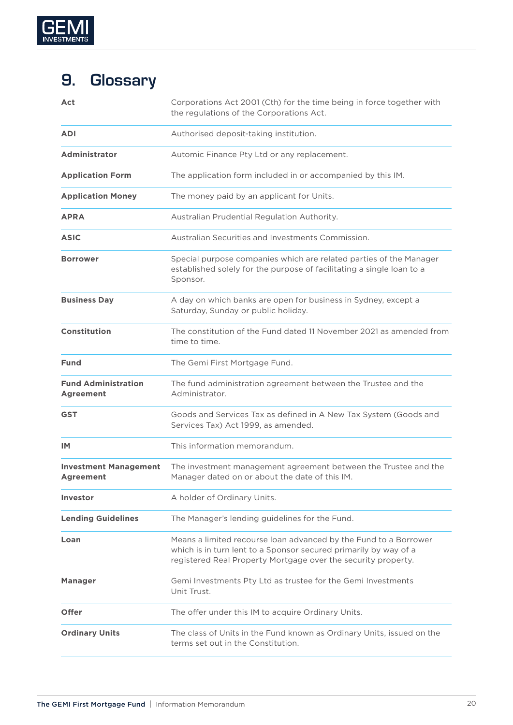

# 9. Glossary

| Act                                            | Corporations Act 2001 (Cth) for the time being in force together with<br>the regulations of the Corporations Act.                                                                                     |
|------------------------------------------------|-------------------------------------------------------------------------------------------------------------------------------------------------------------------------------------------------------|
| <b>ADI</b>                                     | Authorised deposit-taking institution.                                                                                                                                                                |
| Administrator                                  | Automic Finance Pty Ltd or any replacement.                                                                                                                                                           |
| <b>Application Form</b>                        | The application form included in or accompanied by this IM.                                                                                                                                           |
| <b>Application Money</b>                       | The money paid by an applicant for Units.                                                                                                                                                             |
| <b>APRA</b>                                    | Australian Prudential Regulation Authority.                                                                                                                                                           |
| <b>ASIC</b>                                    | Australian Securities and Investments Commission.                                                                                                                                                     |
| <b>Borrower</b>                                | Special purpose companies which are related parties of the Manager<br>established solely for the purpose of facilitating a single loan to a<br>Sponsor.                                               |
| <b>Business Day</b>                            | A day on which banks are open for business in Sydney, except a<br>Saturday, Sunday or public holiday.                                                                                                 |
| <b>Constitution</b>                            | The constitution of the Fund dated 11 November 2021 as amended from<br>time to time.                                                                                                                  |
| <b>Fund</b>                                    | The Gemi First Mortgage Fund.                                                                                                                                                                         |
| <b>Fund Administration</b><br><b>Agreement</b> | The fund administration agreement between the Trustee and the<br>Administrator.                                                                                                                       |
| <b>GST</b>                                     | Goods and Services Tax as defined in A New Tax System (Goods and<br>Services Tax) Act 1999, as amended.                                                                                               |
| IM.                                            | This information memorandum.                                                                                                                                                                          |
| <b>Investment Management</b><br>Agreement      | The investment management agreement between the Trustee and the<br>Manager dated on or about the date of this IM.                                                                                     |
| Investor                                       | A holder of Ordinary Units.                                                                                                                                                                           |
| <b>Lending Guidelines</b>                      | The Manager's lending guidelines for the Fund.                                                                                                                                                        |
| Loan                                           | Means a limited recourse loan advanced by the Fund to a Borrower<br>which is in turn lent to a Sponsor secured primarily by way of a<br>registered Real Property Mortgage over the security property. |
| <b>Manager</b>                                 | Gemi Investments Pty Ltd as trustee for the Gemi Investments<br>Unit Trust.                                                                                                                           |
| <b>Offer</b>                                   | The offer under this IM to acquire Ordinary Units.                                                                                                                                                    |
| <b>Ordinary Units</b>                          | The class of Units in the Fund known as Ordinary Units, issued on the<br>terms set out in the Constitution.                                                                                           |